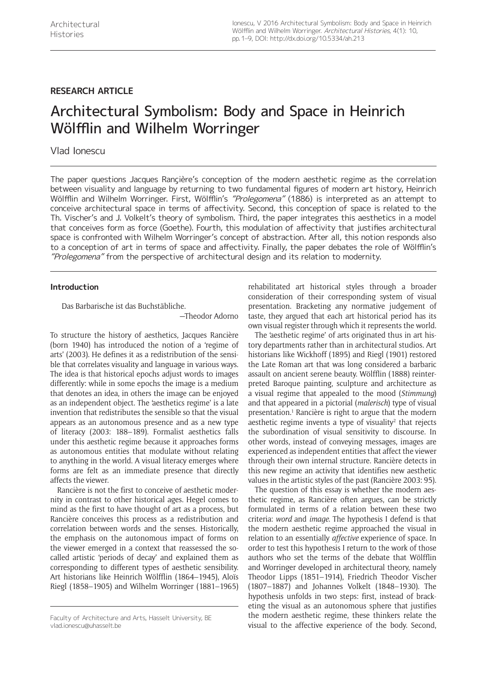# **RESEARCH ARTICLE**

# Architectural Symbolism: Body and Space in Heinrich Wölfflin and Wilhelm Worringer

## Vlad Ionescu

The paper questions Jacques Rançière's conception of the modern aesthetic regime as the correlation between visuality and language by returning to two fundamental figures of modern art history, Heinrich Wölfflin and Wilhelm Worringer. First, Wölfflin's "Prolegomena" (1886) is interpreted as an attempt to conceive architectural space in terms of affectivity. Second, this conception of space is related to the Th. Vischer's and J. Volkelt's theory of symbolism. Third, the paper integrates this aesthetics in a model that conceives form as force (Goethe). Fourth, this modulation of affectivity that justifies architectural space is confronted with Wilhelm Worringer's concept of abstraction. After all, this notion responds also to a conception of art in terms of space and affectivity. Finally, the paper debates the role of Wölfflin's "Prolegomena" from the perspective of architectural design and its relation to modernity.

## **Introduction**

Das Barbarische ist das Buchstäbliche.

—Theodor Adorno

To structure the history of aesthetics, Jacques Rancière (born 1940) has introduced the notion of a 'regime of arts' (2003). He defines it as a redistribution of the sensible that correlates visuality and language in various ways. The idea is that historical epochs adjust words to images differently: while in some epochs the image is a medium that denotes an idea, in others the image can be enjoyed as an independent object. The 'aesthetics regime' is a late invention that redistributes the sensible so that the visual appears as an autonomous presence and as a new type of literacy (2003: 188–189). Formalist aesthetics falls under this aesthetic regime because it approaches forms as autonomous entities that modulate without relating to anything in the world. A visual literacy emerges where forms are felt as an immediate presence that directly affects the viewer.

Rancière is not the first to conceive of aesthetic modernity in contrast to other historical ages. Hegel comes to mind as the first to have thought of art as a process, but Rancière conceives this process as a redistribution and correlation between words and the senses. Historically, the emphasis on the autonomous impact of forms on the viewer emerged in a context that reassessed the socalled artistic 'periods of decay' and explained them as corresponding to different types of aesthetic sensibility. Art historians like Heinrich Wölfflin (1864–1945), Aloïs Riegl (1858–1905) and Wilhelm Worringer (1881–1965)

rehabilitated art historical styles through a broader consideration of their corresponding system of visual presentation. Bracketing any normative judgement of taste, they argued that each art historical period has its own visual register through which it represents the world.

The 'aesthetic regime' of arts originated thus in art history departments rather than in architectural studios. Art historians like Wickhoff (1895) and Riegl (1901) restored the Late Roman art that was long considered a barbaric assault on ancient serene beauty. Wölfflin (1888) reinterpreted Baroque painting, sculpture and architecture as a visual regime that appealed to the mood (*Stimmung*) and that appeared in a pictorial (*malerisch*) type of visual presentation.<sup>1</sup> Rancière is right to argue that the modern aesthetic regime invents a type of visuality $2$  that rejects the subordination of visual sensitivity to discourse. In other words, instead of conveying messages, images are experienced as independent entities that affect the viewer through their own internal structure. Rancière detects in this new regime an activity that identifies new aesthetic values in the artistic styles of the past (Rancière 2003: 95).

The question of this essay is whether the modern aesthetic regime, as Rancière often argues, can be strictly formulated in terms of a relation between these two criteria: *word* and *image*. The hypothesis I defend is that the modern aesthetic regime approached the visual in relation to an essentially *affective* experience of space. In order to test this hypothesis I return to the work of those authors who set the terms of the debate that Wölfflin and Worringer developed in architectural theory, namely Theodor Lipps (1851–1914), Friedrich Theodor Vischer (1807–1887) and Johannes Volkelt (1848–1930). The hypothesis unfolds in two steps: first, instead of bracketing the visual as an autonomous sphere that justifies the modern aesthetic regime, these thinkers relate the visual to the affective experience of the body. Second,

Faculty of Architecture and Arts, Hasselt University, BE [vlad.ionescu@uhasselt.be](mailto:vlad.ionescu@uhasselt.be)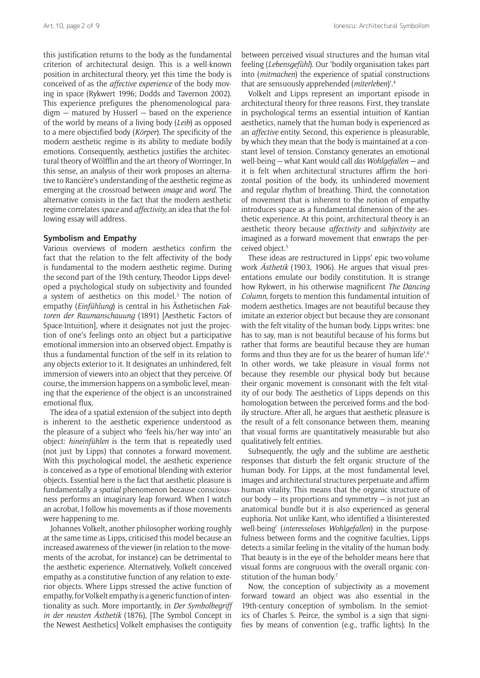this justification returns to the body as the fundamental criterion of architectural design. This is a well-known position in architectural theory, yet this time the body is conceived of as the *affective experience* of the body moving in space (Rykwert 1996; Dodds and Tavernon 2002). This experience prefigures the phenomenological paradigm — matured by Husserl — based on the experience of the world by means of a living body (*Leib*) as opposed to a mere objectified body (*Körper*). The specificity of the modern aesthetic regime is its ability to mediate bodily emotions. Consequently, aesthetics justifies the architectural theory of Wölfflin and the art theory of Worringer. In this sense, an analysis of their work proposes an alternative to Rancière's understanding of the aesthetic regime as emerging at the crossroad between *image* and *word*. The alternative consists in the fact that the modern aesthetic regime correlates *space* and *affectivity,* an idea that the following essay will address.

#### **Symbolism and Empathy**

Various overviews of modern aesthetics confirm the fact that the relation to the felt affectivity of the body is fundamental to the modern aesthetic regime. During the second part of the 19th century, Theodor Lipps developed a psychological study on subjectivity and founded a system of aesthetics on this model.<sup>3</sup> The notion of empathy (*Einfühlung*) is central in his Ästhetischen *Faktoren der Raumanschauung* (1891) [Aesthetic Factors of Space-Intuition], where it designates not just the projection of one's feelings onto an object but a participative emotional immersion into an observed object. Empathy is thus a fundamental function of the self in its relation to any objects exterior to it. It designates an unhindered, felt immersion of viewers into an object that they perceive. Of course, the immersion happens on a symbolic level, meaning that the experience of the object is an unconstrained emotional flux.

The idea of a spatial extension of the subject into depth is inherent to the aesthetic experience understood as the pleasure of a subject who 'feels his/her way into' an object: *hineinfühlen* is the term that is repeatedly used (not just by Lipps) that connotes a forward movement. With this psychological model, the aesthetic experience is conceived as a type of emotional blending with exterior objects. Essential here is the fact that aesthetic pleasure is fundamentally a *spatial* phenomenon because consciousness performs an imaginary leap forward. When I watch an acrobat, I follow his movements as if those movements were happening to me.

Johannes Volkelt, another philosopher working roughly at the same time as Lipps, criticised this model because an increased awareness of the viewer (in relation to the movements of the acrobat, for instance) can be detrimental to the aesthetic experience. Alternatively, Volkelt conceived empathy as a constitutive function of any relation to exterior objects. Where Lipps stressed the active function of empathy, for Volkelt empathy is a generic function of intentionality as such. More importantly, in *Der Symbolbegriff in der neusten* Ästhetik (1876), [The Symbol Concept in the Newest Aesthetics] Volkelt emphasises the contiguity

between perceived visual structures and the human vital feeling (*Lebensgefühl*). Our 'bodily organisation takes part into (*mitmachen*) the experience of spatial constructions that are sensuously apprehended (*miterleben*)'.4

Volkelt and Lipps represent an important episode in architectural theory for three reasons. First, they translate in psychological terms an essential intuition of Kantian aesthetics, namely that the human body is experienced as an *affective* entity. Second, this experience is pleasurable, by which they mean that the body is maintained at a constant level of tension. Constancy generates an emotional well-being — what Kant would call *das Wohlgefallen —* and it is felt when architectural structures affirm the horizontal position of the body, its unhindered movement and regular rhythm of breathing. Third, the connotation of movement that is inherent to the notion of empathy introduces space as a fundamental dimension of the aesthetic experience. At this point, architectural theory is an aesthetic theory because *affectivity* and *subjectivity* are imagined as a forward movement that enwraps the perceived object.5

These ideas are restructured in Lipps' epic two-volume work Ästhetik (1903, 1906). He argues that visual presentations emulate our bodily constitution. It is strange how Rykwert, in his otherwise magnificent *The Dancing Column*, forgets to mention this fundamental intuition of modern aesthetics. Images are not beautiful because they imitate an exterior object but because they are consonant with the felt vitality of the human body. Lipps writes: 'one has to say, man is not beautiful because of his forms but rather that forms are beautiful because they are human forms and thus they are for us the bearer of human life'.6 In other words, we take pleasure in visual forms not because they resemble our physical body but because their organic movement is consonant with the felt vitality of our body. The aesthetics of Lipps depends on this homologation between the perceived forms and the bodily structure. After all, he argues that aesthetic pleasure is the result of a felt consonance between them, meaning that visual forms are quantitatively measurable but also qualitatively felt entities.

Subsequently, the ugly and the sublime are aesthetic responses that disturb the felt organic structure of the human body. For Lipps, at the most fundamental level, images and architectural structures perpetuate and affirm human vitality. This means that the organic structure of our body  $-$  its proportions and symmetry  $-$  is not just an anatomical bundle but it is also experienced as general euphoria. Not unlike Kant, who identified a 'disinterested well-being' (*interesseloses Wohlgefallen*) in the purposefulness between forms and the cognitive faculties, Lipps detects a similar feeling in the vitality of the human body. That beauty is in the eye of the beholder means here that visual forms are congruous with the overall organic constitution of the human body.<sup>7</sup>

Now, the conception of subjectivity as a movement forward toward an object was also essential in the 19th-century conception of symbolism. In the semiotics of Charles S. Peirce, the symbol is a sign that signifies by means of convention (e.g., traffic lights). In the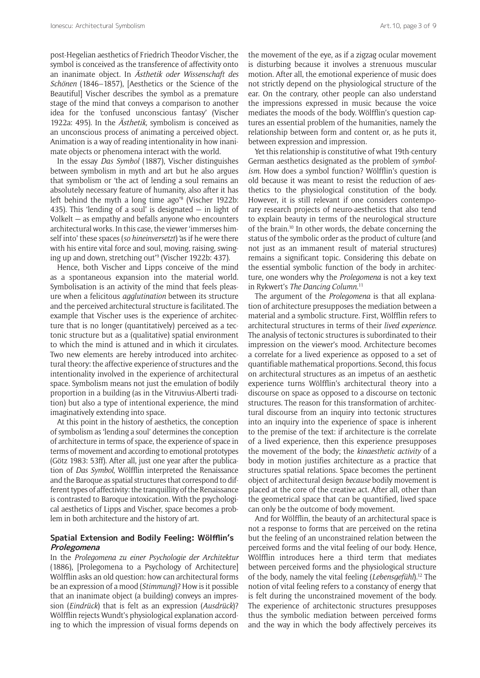post-Hegelian aesthetics of Friedrich Theodor Vischer, the symbol is conceived as the transference of affectivity onto an inanimate object. In Ästhetik *oder Wissenschaft des Schönen* (1846–1857), [Aesthetics or the Science of the Beautiful] Vischer describes the symbol as a premature stage of the mind that conveys a comparison to another idea for the 'confused unconscious fantasy' (Vischer 1922a: 495). In the Ästhetik*,* symbolism is conceived as an unconscious process of animating a perceived object. Animation is a way of reading intentionality in how inanimate objects or phenomena interact with the world.

In the essay *Das Symbol* (1887), Vischer distinguishes between symbolism in myth and art but he also argues that symbolism or 'the act of lending a soul remains an absolutely necessary feature of humanity, also after it has left behind the myth a long time ago'8 (Vischer 1922b: 435). This 'lending of a soul' is designated  $-$  in light of Volkelt — as empathy and befalls anyone who encounters architectural works. In this case, the viewer 'immerses himself into' these spaces (*so hineinversetzt*) 'as if he were there with his entire vital force and soul, moving, raising, swinging up and down, stretching out'9 (Vischer 1922b: 437).

Hence, both Vischer and Lipps conceive of the mind as a spontaneous expansion into the material world. Symbolisation is an activity of the mind that feels pleasure when a felicitous *agglutination* between its structure and the perceived architectural structure is facilitated. The example that Vischer uses is the experience of architecture that is no longer (quantitatively) perceived as a tectonic structure but as a (qualitative) spatial environment to which the mind is attuned and in which it circulates. Two new elements are hereby introduced into architectural theory: the affective experience of structures and the intentionality involved in the experience of architectural space. Symbolism means not just the emulation of bodily proportion in a building (as in the Vitruvius-Alberti tradition) but also a type of intentional experience, the mind imaginatively extending into space.

At this point in the history of aesthetics, the conception of symbolism as 'lending a soul' determines the conception of architecture in terms of space, the experience of space in terms of movement and according to emotional prototypes (Götz 1983: 53ff). After all, just one year after the publication of *Das Symbol*, Wölfflin interpreted the Renaissance and the Baroque as spatial structures that correspond to different types of affectivity: the tranquillity of the Renaissance is contrasted to Baroque intoxication. With the psychological aesthetics of Lipps and Vischer, space becomes a problem in both architecture and the history of art.

### **Spatial Extension and Bodily Feeling: Wölfflin's Prolegomena**

In the *Prolegomena zu einer Psychologie der Architektur*  (1886), [Prolegomena to a Psychology of Architecture] Wölfflin asks an old question: how can architectural forms be an expression of a mood (*Stimmung*)? How is it possible that an inanimate object (a building) conveys an impression (*Eindrück*) that is felt as an expression (*Ausdrück*)? Wölfflin rejects Wundt's physiological explanation according to which the impression of visual forms depends on the movement of the eye, as if a zigzag ocular movement is disturbing because it involves a strenuous muscular motion. After all, the emotional experience of music does not strictly depend on the physiological structure of the ear. On the contrary, other people can also understand the impressions expressed in music because the voice mediates the moods of the body. Wölfflin's question captures an essential problem of the humanities, namely the relationship between form and content or, as he puts it, between expression and impression.

Yet this relationship is constitutive of what 19th-century German aesthetics designated as the problem of *symbolism.* How does a symbol function? Wölfflin's question is old because it was meant to resist the reduction of aesthetics to the physiological constitution of the body. However, it is still relevant if one considers contemporary research projects of neuro-aesthetics that also tend to explain beauty in terms of the neurological structure of the brain.<sup>10</sup> In other words, the debate concerning the status of the symbolic order as the product of culture (and not just as an immanent result of material structures) remains a significant topic. Considering this debate on the essential symbolic function of the body in architecture, one wonders why the *Prolegomena* is not a key text in Rykwert's *The Dancing Column.*<sup>11</sup>

The argument of the *Prolegomena* is that all explanation of architecture presupposes the mediation between a material and a symbolic structure. First, Wölfflin refers to architectural structures in terms of their *lived experience.*  The analysis of tectonic structures is subordinated to their impression on the viewer's mood. Architecture becomes a correlate for a lived experience as opposed to a set of quantifiable mathematical proportions. Second, this focus on architectural structures as an impetus of an aesthetic experience turns Wölfflin's architectural theory into a discourse on space as opposed to a discourse on tectonic structures. The reason for this transformation of architectural discourse from an inquiry into tectonic structures into an inquiry into the experience of space is inherent to the premise of the text: if architecture is the correlate of a lived experience, then this experience presupposes the movement of the body; the *kinaesthetic activity* of a body in motion justifies architecture as a practice that structures spatial relations. Space becomes the pertinent object of architectural design *because* bodily movement is placed at the core of the creative act. After all, other than the geometrical space that can be quantified, lived space can only be the outcome of body movement.

And for Wölfflin, the beauty of an architectural space is not a response to forms that are perceived on the retina but the feeling of an unconstrained relation between the perceived forms and the vital feeling of our body. Hence, Wölfflin introduces here a third term that mediates between perceived forms and the physiological structure of the body, namely the vital feeling (*Lebensgefühl*).12 The notion of vital feeling refers to a constancy of energy that is felt during the unconstrained movement of the body. The experience of architectonic structures presupposes thus the symbolic mediation between perceived forms and the way in which the body affectively perceives its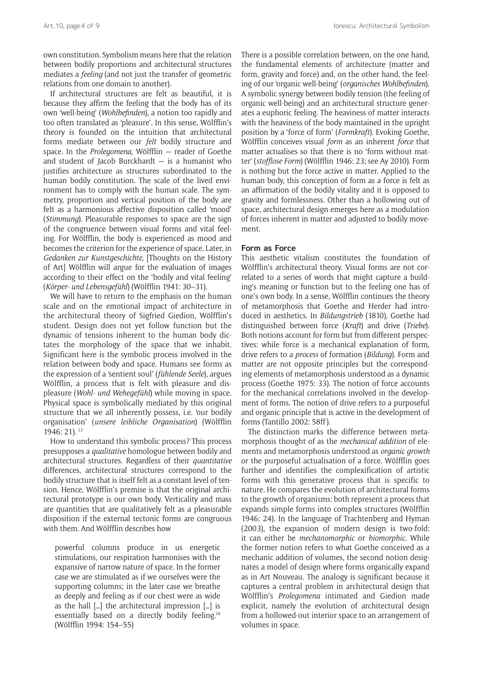own constitution. Symbolism means here that the relation between bodily proportions and architectural structures mediates a *feeling* (and not just the transfer of geometric relations from one domain to another).

If architectural structures are felt as beautiful, it is because they affirm the feeling that the body has of its own 'well-being' (*Wohlbefinden*), a notion too rapidly and too often translated as 'pleasure'. In this sense, Wölfflin's theory is founded on the intuition that architectural forms mediate between our *felt* bodily structure and space. In the *Prolegomena,* Wölfflin — reader of Goethe and student of Jacob Burckhardt  $-$  is a humanist who justifies architecture as structures subordinated to the human bodily constitution. The scale of the lived environment has to comply with the human scale. The symmetry, proportion and vertical position of the body are felt as a harmonious affective disposition called 'mood' (*Stimmung*). Pleasurable responses to space are the sign of the congruence between visual forms and vital feeling. For Wölfflin, the body is experienced as mood and becomes the criterion for the experience of space. Later, in *Gedanken zur Kunstgeschichte,* [Thoughts on the History of Art] Wölfflin will argue for the evaluation of images according to their effect on the 'bodily and vital feeling' (*Körper- und Lebensgefühl*) (Wölfflin 1941: 30–31).

We will have to return to the emphasis on the human scale and on the emotional impact of architecture in the architectural theory of Sigfried Giedion, Wölfflin's student. Design does not yet follow function but the dynamic of tensions inherent to the human body dictates the morphology of the space that we inhabit. Significant here is the symbolic process involved in the relation between body and space. Humans see forms as the expression of a 'sentient soul' (*fühlende Seele*), argues Wölfflin, a process that is felt with pleasure and displeasure (*Wohl- und Wehegefühl*) while moving in space. Physical space is symbolically mediated by this original structure that we all inherently possess, i.e. 'our bodily organisation' (*unsere leibliche Organisation*) (Wölfflin 1946: 21). 13

How to understand this symbolic process? This process presupposes a *qualitative* homologue between bodily and architectural structures. Regardless of their *quantitative*  differences, architectural structures correspond to the bodily structure that is itself felt as a constant level of tension. Hence, Wölfflin's premise is that the original architectural prototype is our own body. Verticality and mass are quantities that are qualitatively felt as a pleasurable disposition if the external tectonic forms are congruous with them. And Wölfflin describes how

powerful columns produce in us energetic stimulations, our respiration harmonises with the expansive of narrow nature of space. In the former case we are stimulated as if we ourselves were the supporting columns; in the later case we breathe as deeply and feeling as if our chest were as wide as the hall […] the architectural impression […] is essentially based on a directly bodily feeling.14 (Wölfflin 1994: 154–55)

There is a possible correlation between, on the one hand, the fundamental elements of architecture (matter and form, gravity and force) and, on the other hand, the feeling of our 'organic well-being' (*organisches Wohlbefinden*). A symbolic synergy between bodily tension (the feeling of organic well-being) and an architectural structure generates a euphoric feeling. The heaviness of matter interacts with the heaviness of the body maintained in the upright position by a 'force of form' (*Formkraft*). Evoking Goethe, Wölfflin conceives visual *form* as an inherent *force* that matter actualises so that there is no 'form without matter' (*stofflose Form*) (Wölfflin 1946: 23; see Ay 2010). Form is nothing but the force active in matter. Applied to the human body, this conception of form as a force is felt as an affirmation of the bodily vitality and it is opposed to gravity and formlessness. Other than a hollowing out of space, architectural design emerges here as a modulation of forces inherent in matter and adjusted to bodily movement.

#### **Form as Force**

This aesthetic vitalism constitutes the foundation of Wölfflin's architectural theory. Visual forms are not correlated to a series of words that might capture a building's meaning or function but to the feeling one has of one's own body. In a sense, Wölfflin continues the theory of metamorphosis that Goethe and Herder had introduced in aesthetics. In *Bildungstrieb* (1810), Goethe had distinguished between force (*Kraft*) and drive (*Triebe*). Both notions account for form but from different perspectives: while force is a mechanical explanation of form, drive refers to a *process* of formation (*Bildung*). Form and matter are not opposite principles but the corresponding elements of metamorphosis understood as a dynamic process (Goethe 1975: 33). The notion of force accounts for the mechanical correlations involved in the development of forms. The notion of drive refers to a purposeful and organic principle that is active in the development of forms (Tantillo 2002: 58ff).

The distinction marks the difference between metamorphosis thought of as the *mechanical addition* of elements and metamorphosis understood as *organic growth*  or the purposeful actualisation of a force. Wölfflin goes further and identifies the complexification of artistic forms with this generative process that is specific to nature. He compares the evolution of architectural forms to the growth of organisms: both represent a process that expands simple forms into complex structures (Wölfflin 1946: 24). In the language of Trachtenberg and Hyman (2003), the expansion of modern design is two-fold: it can either be *mechanomorphic* or *biomorphic*. While the former notion refers to what Goethe conceived as a mechanic addition of volumes, the second notion designates a model of design where forms organically expand as in Art Nouveau. The analogy is significant because it captures a central problem in architectural design that Wölfflin's *Prolegomena* intimated and Giedion made explicit, namely the evolution of architectural design from a hollowed-out interior space to an arrangement of volumes in space.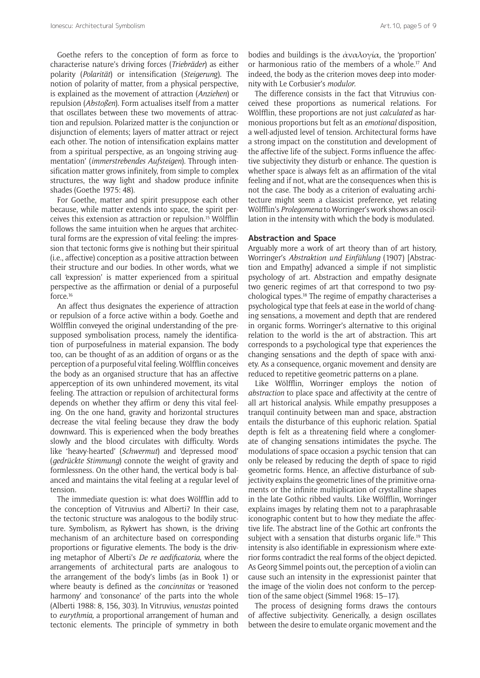Goethe refers to the conception of form as force to characterise nature's driving forces (*Triebräder*) as either polarity (*Polarität*) or intensification (*Steigerun*g). The notion of polarity of matter, from a physical perspective, is explained as the movement of attraction (*Anziehen*) or repulsion (*Abstoßen*). Form actualises itself from a matter that oscillates between these two movements of attraction and repulsion. Polarized matter is the conjunction or disjunction of elements; layers of matter attract or reject each other. The notion of intensification explains matter from a spiritual perspective, as an 'ongoing striving augmentation' (*immerstrebendes Aufsteigen*). Through intensification matter grows infinitely, from simple to complex structures, the way light and shadow produce infinite shades (Goethe 1975: 48).

For Goethe, matter and spirit presuppose each other because, while matter extends into space, the spirit perceives this extension as attraction or repulsion.15 Wölfflin follows the same intuition when he argues that architectural forms are the expression of vital feeling: the impression that tectonic forms give is nothing but their spiritual (i.e., affective) conception as a positive attraction between their structure and our bodies. In other words, what we call 'expression' is matter experienced from a spiritual perspective as the affirmation or denial of a purposeful force.16

An affect thus designates the experience of attraction or repulsion of a force active within a body. Goethe and Wölfflin conveyed the original understanding of the presupposed symbolisation process, namely the identification of purposefulness in material expansion. The body too, can be thought of as an addition of organs or as the perception of a purposeful vital feeling. Wölfflin conceives the body as an organised structure that has an affective apperception of its own unhindered movement, its vital feeling. The attraction or repulsion of architectural forms depends on whether they affirm or deny this vital feeling. On the one hand, gravity and horizontal structures decrease the vital feeling because they draw the body downward. This is experienced when the body breathes slowly and the blood circulates with difficulty. Words like 'heavy-hearted' (*Schwermut*) and 'depressed mood' (*gedrückte Stimmung*) connote the weight of gravity and formlessness. On the other hand, the vertical body is balanced and maintains the vital feeling at a regular level of tension.

The immediate question is: what does Wölfflin add to the conception of Vitruvius and Alberti? In their case, the tectonic structure was analogous to the bodily structure. Symbolism, as Rykwert has shown, is the driving mechanism of an architecture based on corresponding proportions or figurative elements. The body is the driving metaphor of Alberti's *De re aedificatoria*, where the arrangements of architectural parts are analogous to the arrangement of the body's limbs (as in Book 1) or where beauty is defined as the *concinnitas* or 'reasoned harmony' and 'consonance' of the parts into the whole (Alberti 1988: 8, 156, 303). In Vitruvius, *venustas* pointed to *eurythmia,* a proportional arrangement of human and tectonic elements. The principle of symmetry in both bodies and buildings is the  $\dot{\alpha}$ ναλογία, the 'proportion' or harmonious ratio of the members of a whole.17 And indeed, the body as the criterion moves deep into modernity with Le Corbusier's *modulor.* 

The difference consists in the fact that Vitruvius conceived these proportions as numerical relations. For Wölfflin, these proportions are not just *calculated* as harmonious proportions but felt as an *emotional* disposition, a well-adjusted level of tension. Architectural forms have a strong impact on the constitution and development of the affective life of the subject. Forms influence the affective subjectivity they disturb or enhance. The question is whether space is always felt as an affirmation of the vital feeling and if not, what are the consequences when this is not the case. The body as a criterion of evaluating architecture might seem a classicist preference, yet relating Wölfflin's *Prolegomena* to Worringer's work shows an oscillation in the intensity with which the body is modulated.

#### **Abstraction and Space**

Arguably more a work of art theory than of art history, Worringer's *Abstraktion und Einfühlung* (1907) [Abstraction and Empathy] advanced a simple if not simplistic psychology of art. Abstraction and empathy designate two generic regimes of art that correspond to two psychological types.18 The regime of empathy characterises a psychological type that feels at ease in the world of changing sensations, a movement and depth that are rendered in organic forms. Worringer's alternative to this original relation to the world is the art of abstraction. This art corresponds to a psychological type that experiences the changing sensations and the depth of space with anxiety. As a consequence, organic movement and density are reduced to repetitive geometric patterns on a plane.

Like Wölfflin, Worringer employs the notion of *abstraction* to place space and affectivity at the centre of all art historical analysis. While empathy presupposes a tranquil continuity between man and space, abstraction entails the disturbance of this euphoric relation. Spatial depth is felt as a threatening field where a conglomerate of changing sensations intimidates the psyche. The modulations of space occasion a psychic tension that can only be released by reducing the depth of space to rigid geometric forms. Hence, an affective disturbance of subjectivity explains the geometric lines of the primitive ornaments or the infinite multiplication of crystalline shapes in the late Gothic ribbed vaults. Like Wölfflin, Worringer explains images by relating them not to a paraphrasable iconographic content but to how they mediate the affective life. The abstract line of the Gothic art confronts the subject with a sensation that disturbs organic life.<sup>19</sup> This intensity is also identifiable in expressionism where exterior forms contradict the real forms of the object depicted. As Georg Simmel points out, the perception of a violin can cause such an intensity in the expressionist painter that the image of the violin does not conform to the perception of the same object (Simmel 1968: 15–17).

The process of designing forms draws the contours of affective subjectivity. Generically, a design oscillates between the desire to emulate organic movement and the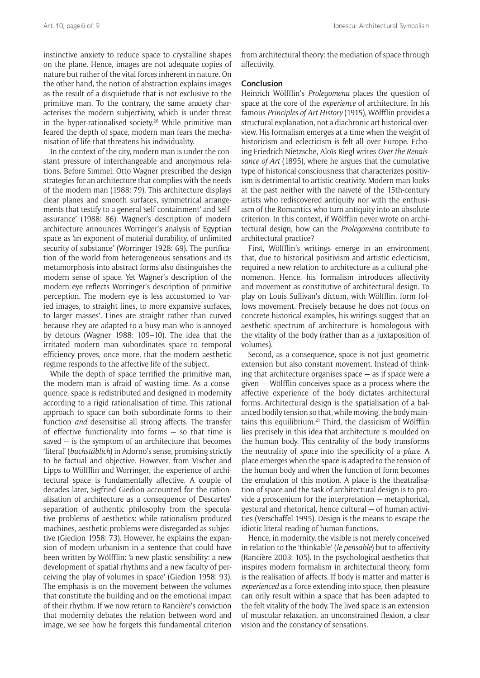instinctive anxiety to reduce space to crystalline shapes on the plane. Hence, images are not adequate copies of nature but rather of the vital forces inherent in nature. On the other hand, the notion of abstraction explains images as the result of a disquietude that is not exclusive to the primitive man. To the contrary, the same anxiety characterises the modern subjectivity, which is under threat in the hyper-rationalised society.<sup>20</sup> While primitive man feared the depth of space, modern man fears the mechanisation of life that threatens his individuality.

In the context of the city, modern man is under the constant pressure of interchangeable and anonymous relations. Before Simmel, Otto Wagner prescribed the design strategies for an architecture that complies with the needs of the modern man (1988: 79). This architecture displays clear planes and smooth surfaces, symmetrical arrangements that testify to a general 'self-containment' and 'selfassurance' (1988: 86). Wagner's description of modern architecture announces Worringer's analysis of Egyptian space as 'an exponent of material durability, of unlimited security of substance' (Worringer 1928: 69). The purification of the world from heterogeneous sensations and its metamorphosis into abstract forms also distinguishes the modern sense of space. Yet Wagner's description of the modern eye reflects Worringer's description of primitive perception. The modern eye is less accustomed to 'varied images, to straight lines, to more expansive surfaces, to larger masses'. Lines are straight rather than curved because they are adapted to a busy man who is annoyed by detours (Wagner 1988: 109–10). The idea that the irritated modern man subordinates space to temporal efficiency proves, once more, that the modern aesthetic regime responds to the affective life of the subject.

While the depth of space terrified the primitive man, the modern man is afraid of wasting time. As a consequence, space is redistributed and designed in modernity according to a rigid rationalisation of time. This rational approach to space can both subordinate forms to their function *and* desensitise all strong affects. The transfer of effective functionality into forms — so that time is saved — is the symptom of an architecture that becomes 'literal' (*buchstäblich*) in Adorno's sense, promising strictly to be factual and objective. However, from Vischer and Lipps to Wölfflin and Worringer, the experience of architectural space is fundamentally affective. A couple of decades later, Sigfried Giedion accounted for the rationalisation of architecture as a consequence of Descartes' separation of authentic philosophy from the speculative problems of aesthetics: while rationalism produced machines, aesthetic problems were disregarded as subjective (Giedion 1958: 73). However, he explains the expansion of modern urbanism in a sentence that could have been written by Wölfflin: 'a new plastic sensibility: a new development of spatial rhythms and a new faculty of perceiving the play of volumes in space' (Giedion 1958: 93). The emphasis is on the movement between the volumes that constitute the building and on the emotional impact of their rhythm. If we now return to Rancière's conviction that modernity debates the relation between word and image, we see how he forgets this fundamental criterion

from architectural theory: the mediation of space through affectivity.

#### **Conclusion**

Heinrich Wölfflin's *Prolegomena* places the question of space at the core of the *experience* of architecture. In his famous *Principles of Art History* (1915), Wölfflin provides a structural explanation, not a diachronic art historical overview. His formalism emerges at a time when the weight of historicism and eclecticism is felt all over Europe. Echoing Friedrich Nietzsche, Aloïs Riegl writes *Over the Renaissance of Art* (1895), where he argues that the cumulative type of historical consciousness that characterizes positivism is detrimental to artistic creativity. Modern man looks at the past neither with the naiveté of the 15th-century artists who rediscovered antiquity nor with the enthusiasm of the Romantics who turn antiquity into an absolute criterion. In this context, if Wölfflin never wrote on architectural design, how can the *Prolegomena* contribute to architectural practice?

First, Wölfflin's writings emerge in an environment that, due to historical positivism and artistic eclecticism, required a new relation to architecture as a cultural phenomenon. Hence, his formalism introduces affectivity and movement as constitutive of architectural design. To play on Louis Sullivan's dictum, with Wölfflin, form follows movement. Precisely because he does not focus on concrete historical examples, his writings suggest that an aesthetic spectrum of architecture is homologous with the vitality of the body (rather than as a juxtaposition of volumes).

Second, as a consequence, space is not just geometric extension but also constant movement. Instead of thinking that architecture organises space — as if space were a given — Wölfflin conceives space as a process where the affective experience of the body dictates architectural forms. Architectural design is the spatialisation of a balanced bodily tension so that, while moving, the body maintains this equilibrium.21 Third, the classicism of Wölfflin lies precisely in this idea that architecture is moulded on the human body. This centrality of the body transforms the neutrality of *space* into the specificity of a *place*. A place emerges when the space is adapted to the tension of the human body and when the function of form becomes the emulation of this motion. A place is the theatralisation of space and the task of architectural design is to provide a proscenium for the interpretation — metaphorical, gestural and rhetorical, hence cultural — of human activities (Verschaffel 1995). Design is the means to escape the idiotic literal reading of human functions.

Hence, in modernity, the visible is not merely conceived in relation to the 'thinkable' (*le pensable*) but to affectivity (Rancière 2003: 105). In the psychological aesthetics that inspires modern formalism in architectural theory, form is the realisation of affects. If body is matter and matter is *experienced* as a force extending into space, then pleasure can only result within a space that has been adapted to the felt vitality of the body. The lived space is an extension of muscular relaxation, an unconstrained flexion, a clear vision and the constancy of sensations.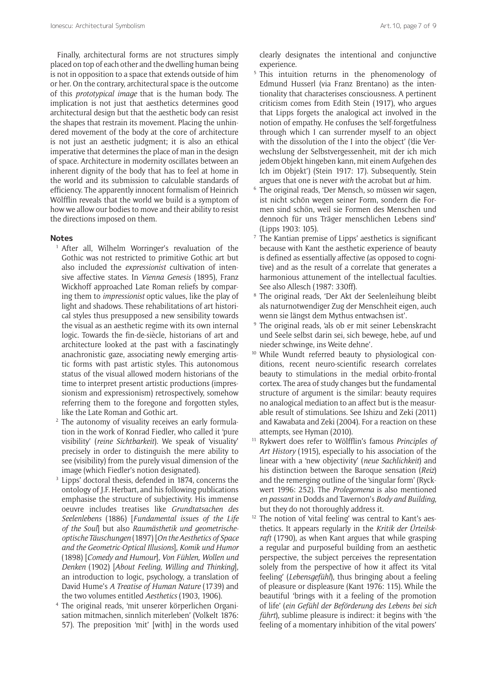Finally, architectural forms are not structures simply placed on top of each other and the dwelling human being is not in opposition to a space that extends outside of him or her. On the contrary, architectural space is the outcome of this *prototypical image* that is the human body. The implication is not just that aesthetics determines good architectural design but that the aesthetic body can resist the shapes that restrain its movement. Placing the unhindered movement of the body at the core of architecture is not just an aesthetic judgment; it is also an ethical imperative that determines the place of man in the design of space. Architecture in modernity oscillates between an inherent dignity of the body that has to feel at home in the world and its submission to calculable standards of efficiency. The apparently innocent formalism of Heinrich Wölfflin reveals that the world we build is a symptom of how we allow our bodies to move and their ability to resist the directions imposed on them.

#### **Notes**

- <sup>1</sup> After all, Wilhelm Worringer's revaluation of the Gothic was not restricted to primitive Gothic art but also included the *expressionist* cultivation of intensive affective states. In *Vienna Genesis* (1895), Franz Wickhoff approached Late Roman reliefs by comparing them to *impressionist* optic values, like the play of light and shadows. These rehabilitations of art historical styles thus presupposed a new sensibility towards the visual as an aesthetic regime with its own internal logic. Towards the fin-de-siècle*,* historians of art and architecture looked at the past with a fascinatingly anachronistic gaze, associating newly emerging artistic forms with past artistic styles. This autonomous status of the visual allowed modern historians of the time to interpret present artistic productions (impressionism and expressionism) retrospectively, somehow referring them to the foregone and forgotten styles, like the Late Roman and Gothic art.
- <sup>2</sup> The autonomy of visuality receives an early formulation in the work of Konrad Fiedler, who called it 'pure visibility' (*reine Sichtbarkeit*). We speak of 'visuality' precisely in order to distinguish the mere ability to see (visibility) from the purely visual dimension of the image (which Fiedler's notion designated).
- Lipps' doctoral thesis, defended in 1874, concerns the ontology of J.F. Herbart, and his following publications emphasise the structure of subjectivity. His immense oeuvre includes treatises like *Grundtatsachen des Seelenlebens* (1886) [*Fundamental issues of the Life of the Soul*] but also *Raumästhetik und geometrischeoptische Täuschungen* (1897) [*On the Aesthetics of Space and the Geometric-Optical Illusions*], *Komik und Humor*  (1898) [*Comedy and Humour*], *Von Fühlen, Wollen und Denken* (1902) [*About Feeling, Willing and Thinking*], an introduction to logic, psychology, a translation of David Hume's *A Treatise of Human Nature* (1739) and the two volumes entitled *Aesthetics* (1903, 1906).<br>The original reads, 'mit unserer körperlichen Organi-
- sation mitmachen, sinnlich miterleben' (Volkelt 1876: 57). The preposition 'mit' [with] in the words used

clearly designates the intentional and conjunctive experience.

- <sup>5</sup> This intuition returns in the phenomenology of Edmund Husserl (via Franz Brentano) as the intentionality that characterises consciousness. A pertinent criticism comes from Edith Stein (1917), who argues that Lipps forgets the analogical act involved in the notion of empathy. He confuses the 'self-forgetfulness through which I can surrender myself to an object with the dissolution of the I into the object' ('die Verwechslung der Selbstvergessenheit, mit der ich mich jedem Objekt hingeben kann, mit einem Aufgehen des Ich im Objekt') (Stein 1917: 17). Subsequently, Stein argues that one is never *with* the acrobat but *at* him. 6 The original reads, 'Der Mensch, so müssen wir sagen,
- ist nicht schön wegen seiner Form, sondern die Formen sind schön, weil sie Formen des Menschen und dennoch für uns Träger menschlichen Lebens sind' (Lipps 1903: 105).
- <sup>7</sup> The Kantian premise of Lipps' aesthetics is significant because with Kant the aesthetic experience of beauty is defined as essentially affective (as opposed to cognitive) and as the result of a correlate that generates a harmonious attunement of the intellectual faculties. See also Allesch (1987: 330ff).
- <sup>8</sup> The original reads, 'Der Akt der Seelenleihung bleibt als naturnotwendiger Zug der Menschheit eigen, auch wenn sie längst dem Mythus entwachsen ist'.<br><sup>9</sup> The original reads, 'als ob er mit seiner Lebenskracht
- und Seele selbst darin sei, sich bewege, hebe, auf und nieder schwinge, ins Weite dehne'*.*
- <sup>10</sup> While Wundt referred beauty to physiological conditions, recent neuro-scientific research correlates beauty to stimulations in the medial orbito-frontal cortex. The area of study changes but the fundamental structure of argument is the similar: beauty requires no analogical mediation to an affect but is the measurable result of stimulations. See Ishizu and Zeki (2011) and Kawabata and Zeki (2004). For a reaction on these attempts, see Hyman (2010).
- <sup>11</sup> Rykwert does refer to Wölfflin's famous *Principles of Art History* (1915), especially to his association of the linear with a 'new objectivity' (*neue Sachlichkeit*) and his distinction between the Baroque sensation (*Reiz*) and the remerging outline of the 'singular form' (Ryckwert 1996: 252). The *Prolegomena* is also mentioned *en passant* in Dodds and Tavernon's *Body and Building*,
- but they do not thoroughly address it.<br><sup>12</sup> The notion of 'vital feeling' was central to Kant's aesthetics. It appears regularly in the *Kritik der Ürteilskraft* (1790), as when Kant argues that while grasping a regular and purposeful building from an aesthetic perspective, the subject perceives the representation solely from the perspective of how it affect its 'vital feeling' (*Lebensgefühl*), thus bringing about a feeling of pleasure or displeasure (Kant 1976: 115). While the beautiful 'brings with it a feeling of the promotion of life' (*ein Gefühl der Beförderung des Lebens bei sich führt*), sublime pleasure is indirect: it begins with 'the feeling of a momentary inhibition of the vital powers'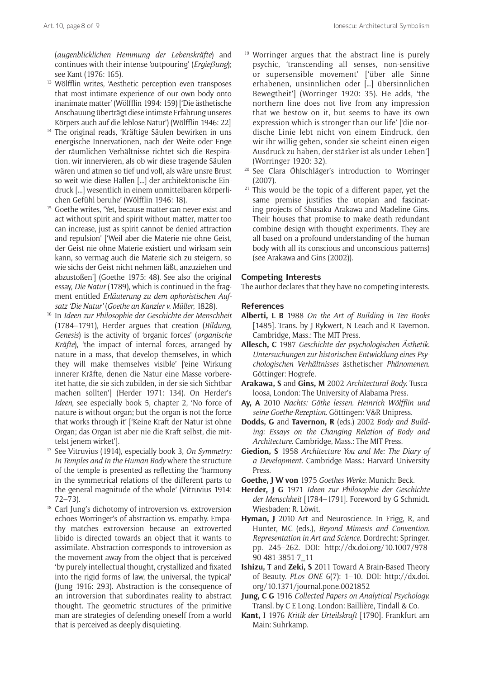(*augenblicklichen Hemmung der Lebenskräfte*) and continues with their intense 'outpouring' (*Ergie*βung);

- <sup>13</sup> Wölfflin writes, 'Aesthetic perception even transposes that most intimate experience of our own body onto inanimate matter' (Wölfflin 1994: 159) ['Die ästhetische Anschauung überträgt diese intimste Erfahrung unseres
- Körpers auch auf die leblose Natur') (Wölfflin 1946: 22] 14 The original reads, 'Kräftige Säulen bewirken in uns energische Innervationen, nach der Weite oder Enge der räumlichen Verhältnisse richtet sich die Respiration, wir innervieren, als ob wir diese tragende Säulen wären und atmen so tief und voll, als wäre unsre Brust so weit wie diese Hallen [...] der architektonische Eindruck [...] wesentlich in einem unmittelbaren körperlichen Gefühl beruhe' (Wölfflin 1946: 18).
- <sup>15</sup> Goethe writes, 'Yet, because matter can never exist and act without spirit and spirit without matter, matter too can increase, just as spirit cannot be denied attraction and repulsion' ['Weil aber die Materie nie ohne Geist, der Geist nie ohne Materie existiert und wirksam sein kann, so vermag auch die Materie sich zu steigern, so wie sichs der Geist nicht nehmen läßt, anzuziehen und abzustoßen'] (Goethe 1975: 48). See also the original essay, *Die Natur* (1789), which is continued in the fragment entitled *Erläuterung zu dem aphoristischen Auf-*
- *satz 'Die Natur'* (*Goethe an Kanzler v. Müller*, 1828). 16 In *Ideen zur Philosophie der Geschichte der Menschheit*  (1784–1791), Herder argues that creation (*Bildung, Genesis*) is the activity of 'organic forces' (*organische Kräfte*), 'the impact of internal forces, arranged by nature in a mass, that develop themselves, in which they will make themselves visible' ['eine Wirkung innerer Kräfte, denen die Natur eine Masse vorbereitet hatte, die sie sich zubilden, in der sie sich Sichtbar machen sollten'] (Herder 1971: 134). On Herder's *Ideen*, see especially book 5, chapter 2, 'No force of nature is without organ; but the organ is not the force that works through it' ['Keine Kraft der Natur ist ohne Organ; das Organ ist aber nie die Kraft selbst, die mittelst jenem wirket'].
- <sup>17</sup> See Vitruvius (1914), especially book 3, *On Symmetry: In Temples and In the Human Body* where the structure of the temple is presented as reflecting the 'harmony in the symmetrical relations of the different parts to the general magnitude of the whole' (Vitruvius 1914:
- 72–73). 18 Carl Jung's dichotomy of introversion vs. extroversion echoes Worringer's of abstraction vs. empathy. Empathy matches extroversion because an extroverted libido is directed towards an object that it wants to assimilate. Abstraction corresponds to introversion as the movement away from the object that is perceived 'by purely intellectual thought, crystallized and fixated into the rigid forms of law, the universal, the typical' (Jung 1916: 293). Abstraction is the consequence of an introversion that subordinates reality to abstract thought. The geometric structures of the primitive man are strategies of defending oneself from a world that is perceived as deeply disquieting.
- <sup>19</sup> Worringer argues that the abstract line is purely psychic, 'transcending all senses, non-sensitive or supersensible movement' ['über alle Sinne erhabenen, unsinnlichen oder […] übersinnlichen Bewegtheit'] (Worringer 1920: 35). He adds, 'the northern line does not live from any impression that we bestow on it, but seems to have its own expression which is stronger than our life' ['die nordische Linie lebt nicht von einem Eindruck, den wir ihr willig geben, sonder sie scheint einen eigen Ausdruck zu haben, der stärker ist als under Leben'] (Worringer 1920: 32).
- <sup>20</sup> See Clara Öhlschläger's introduction to Worringer (2007).
- <sup>21</sup> This would be the topic of a different paper, yet the same premise justifies the utopian and fascinating projects of Shusaku Arakawa and Madeline Gins. Their houses that promise to make death redundant combine design with thought experiments. They are all based on a profound understanding of the human body with all its conscious and unconscious patterns) (see Arakawa and Gins (2002)).

#### **Competing Interests**

The author declares that they have no competing interests.

#### **References**

- **Alberti, L B** 1988 *On the Art of Building in Ten Books*  [1485]. Trans. by J Rykwert, N Leach and R Tavernon. Cambridge, Mass.: The MIT Press.
- **Allesch, C** 1987 *Geschichte der psychologischen Ästhetik. Untersuchungen zur historischen Entwicklung eines Psychologischen Verhältnisses* ästhetischer *Phänomenen.*  Göttinger: Hogrefe.
- **Arakawa, S** and **Gins, M** 2002 *Architectural Body.* Tuscaloosa, London: The University of Alabama Press.
- **Ay, A** 2010 *Nachts: Göthe lessen. Heinrich Wölfflin und seine Goethe-Rezeption.* Göttingen: V&R Unipress.
- **Dodds, G** and **Tavernon, R** (eds.) 2002 *Body and Building: Essays on the Changing Relation of Body and Architecture.* Cambridge, Mass.: The MIT Press.
- **Giedion, S** 1958 *Architecture You and Me: The Diary of a Development.* Cambridge Mass.: Harvard University Press.
- **Goethe, J W von** 1975 *Goethes Werke.* Munich: Beck.
- **Herder, J G** 1971 *Ideen zur Philosophie der Geschichte der Menschheit* [1784–1791]. Foreword by G Schmidt. Wiesbaden: R. Löwit.
- **Hyman, J** 2010 Art and Neuroscience. In Frigg, R, and Hunter, MC (eds.), *Beyond Mimesis and Convention. Representation in Art and Science*. Dordrecht: Springer. pp. 245–262. DOI: [http://dx.doi.org/10.1007/978-](http://dx.doi.org/10.1007/978-90-481-3851-7_11) [90-481-3851-7\\_11](http://dx.doi.org/10.1007/978-90-481-3851-7_11)
- **Ishizu, T** and **Zeki, S** 2011 Toward A Brain-Based Theory of Beauty. *PLos ONE* 6(7): 1–10. DOI: [http://dx.doi.](http://dx.doi.org/10.1371/journal.pone.0021852) [org/10.1371/journal.pone.0021852](http://dx.doi.org/10.1371/journal.pone.0021852)
- **Jung, C G** 1916 *Collected Papers on Analytical Psychology.*  Transl. by C E Long. London: Baillière, Tindall & Co.
- **Kant, I** 1976 *Kritik der Urteilskraft* [1790]*.* Frankfurt am Main: Suhrkamp.